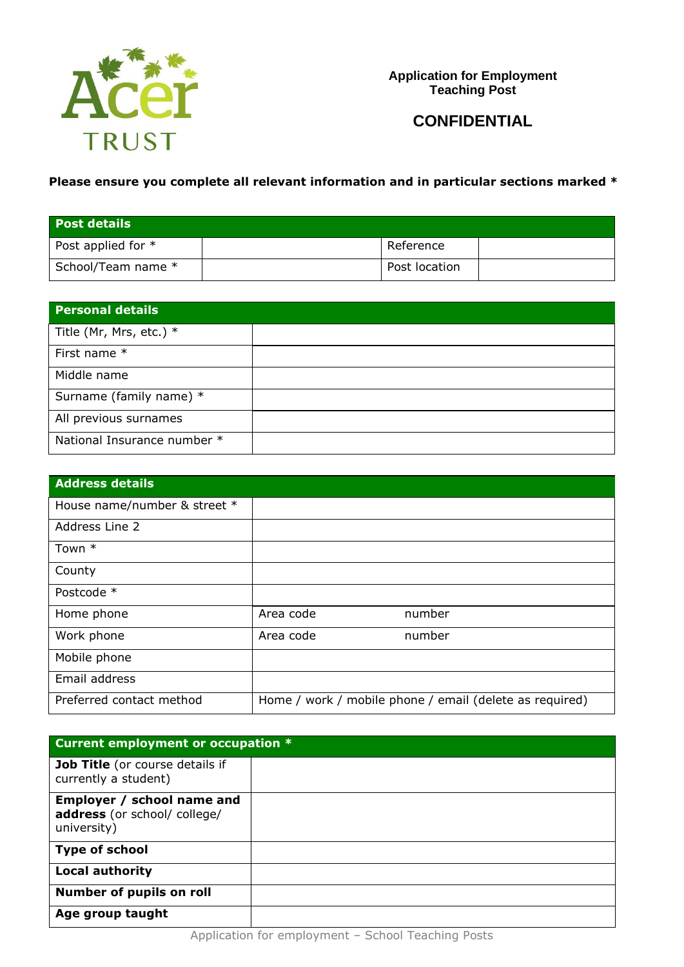

**Application for Employment Teaching Post**

# **CONFIDENTIAL**

# **Please ensure you complete all relevant information and in particular sections marked \***

| Post details         |               |  |
|----------------------|---------------|--|
| Post applied for $*$ | Reference     |  |
| School/Team name *   | Post location |  |

| <b>Personal details</b>     |  |
|-----------------------------|--|
| Title (Mr, Mrs, etc.) $*$   |  |
| First name *                |  |
| Middle name                 |  |
| Surname (family name) *     |  |
| All previous surnames       |  |
| National Insurance number * |  |

| <b>Address details</b>       |           |                                                         |
|------------------------------|-----------|---------------------------------------------------------|
| House name/number & street * |           |                                                         |
| Address Line 2               |           |                                                         |
| Town *                       |           |                                                         |
| County                       |           |                                                         |
| Postcode *                   |           |                                                         |
| Home phone                   | Area code | number                                                  |
| Work phone                   | Area code | number                                                  |
| Mobile phone                 |           |                                                         |
| Email address                |           |                                                         |
| Preferred contact method     |           | Home / work / mobile phone / email (delete as required) |

| Current employment or occupation *                                        |  |  |
|---------------------------------------------------------------------------|--|--|
| Job Title (or course details if<br>currently a student)                   |  |  |
| Employer / school name and<br>address (or school/ college/<br>university) |  |  |
| <b>Type of school</b>                                                     |  |  |
| <b>Local authority</b>                                                    |  |  |
| <b>Number of pupils on roll</b>                                           |  |  |
| Age group taught                                                          |  |  |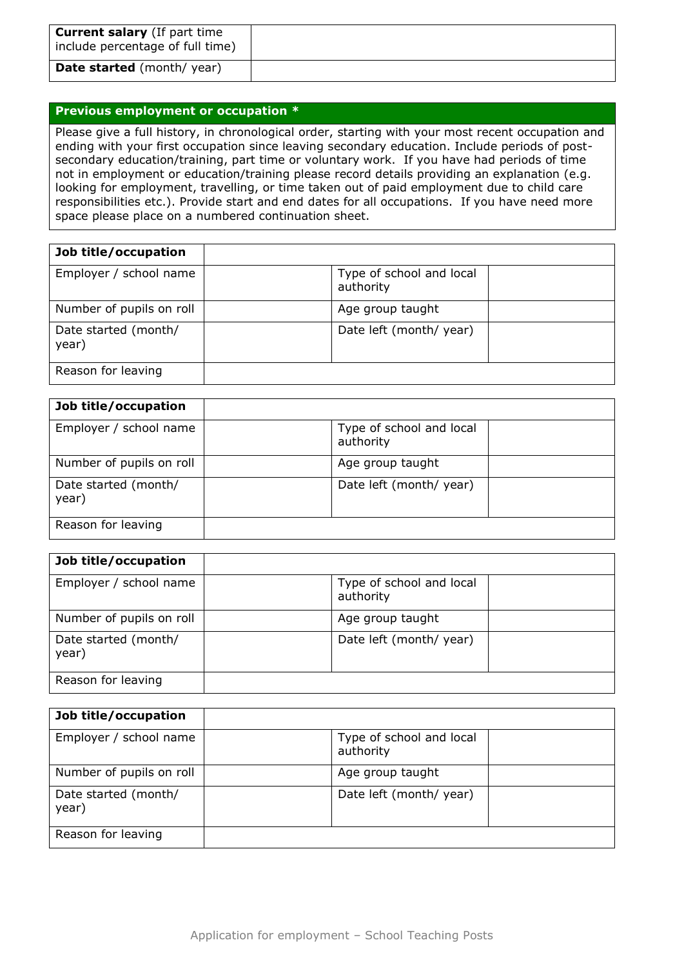| <b>Current salary</b> (If part time<br>include percentage of full time) |  |
|-------------------------------------------------------------------------|--|
| <b>Date started</b> (month/year)                                        |  |

#### **Previous employment or occupation \***

Please give a full history, in chronological order, starting with your most recent occupation and ending with your first occupation since leaving secondary education. Include periods of postsecondary education/training, part time or voluntary work. If you have had periods of time not in employment or education/training please record details providing an explanation (e.g. looking for employment, travelling, or time taken out of paid employment due to child care responsibilities etc.). Provide start and end dates for all occupations. If you have need more space please place on a numbered continuation sheet.

| Job title/occupation          |                                       |  |
|-------------------------------|---------------------------------------|--|
| Employer / school name        | Type of school and local<br>authority |  |
| Number of pupils on roll      | Age group taught                      |  |
| Date started (month/<br>year) | Date left (month/ year)               |  |
| Reason for leaving            |                                       |  |

| Job title/occupation          |                                       |  |
|-------------------------------|---------------------------------------|--|
| Employer / school name        | Type of school and local<br>authority |  |
| Number of pupils on roll      | Age group taught                      |  |
| Date started (month/<br>year) | Date left (month/ year)               |  |
| Reason for leaving            |                                       |  |

| Job title/occupation          |                                       |  |
|-------------------------------|---------------------------------------|--|
| Employer / school name        | Type of school and local<br>authority |  |
| Number of pupils on roll      | Age group taught                      |  |
| Date started (month/<br>year) | Date left (month/ year)               |  |
| Reason for leaving            |                                       |  |

| Job title/occupation          |                                       |
|-------------------------------|---------------------------------------|
| Employer / school name        | Type of school and local<br>authority |
| Number of pupils on roll      | Age group taught                      |
| Date started (month/<br>year) | Date left (month/ year)               |
| Reason for leaving            |                                       |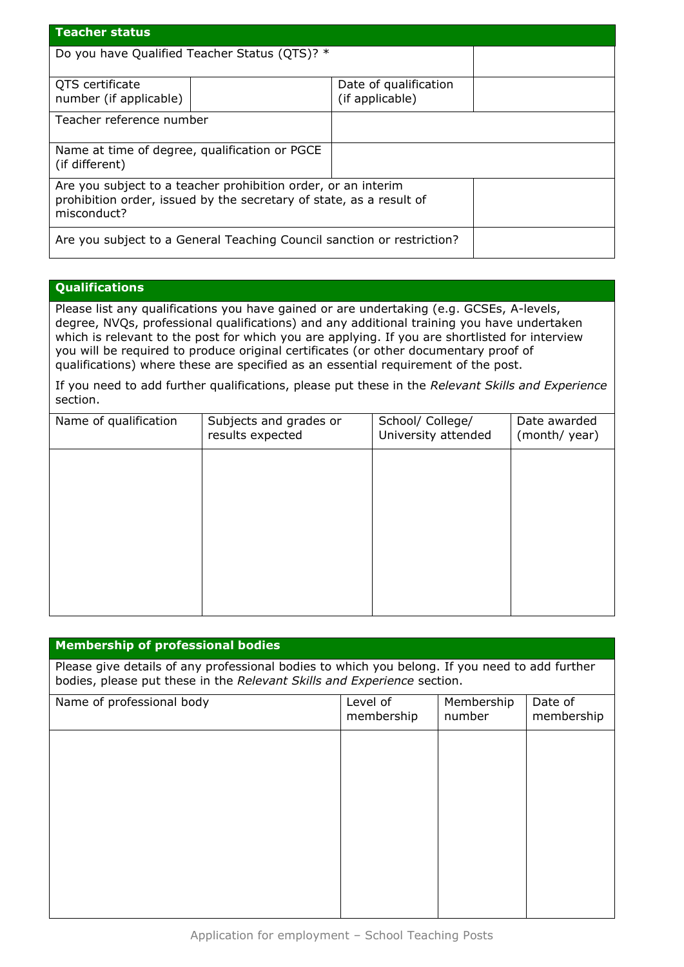| <b>Teacher status</b>                                                                                                                               |                                          |  |  |
|-----------------------------------------------------------------------------------------------------------------------------------------------------|------------------------------------------|--|--|
| Do you have Qualified Teacher Status (QTS)? *                                                                                                       |                                          |  |  |
| QTS certificate<br>number (if applicable)                                                                                                           | Date of qualification<br>(if applicable) |  |  |
| Teacher reference number                                                                                                                            |                                          |  |  |
| Name at time of degree, qualification or PGCE<br>(if different)                                                                                     |                                          |  |  |
| Are you subject to a teacher prohibition order, or an interim<br>prohibition order, issued by the secretary of state, as a result of<br>misconduct? |                                          |  |  |
| Are you subject to a General Teaching Council sanction or restriction?                                                                              |                                          |  |  |

#### **Qualifications**

Please list any qualifications you have gained or are undertaking (e.g. GCSEs, A-levels, degree, NVQs, professional qualifications) and any additional training you have undertaken which is relevant to the post for which you are applying. If you are shortlisted for interview you will be required to produce original certificates (or other documentary proof of qualifications) where these are specified as an essential requirement of the post.

If you need to add further qualifications, please put these in the *Relevant Skills and Experience* section.

| Name of qualification | Subjects and grades or<br>results expected | School/ College/<br>University attended | Date awarded<br>(month/year) |
|-----------------------|--------------------------------------------|-----------------------------------------|------------------------------|
|                       |                                            |                                         |                              |
|                       |                                            |                                         |                              |
|                       |                                            |                                         |                              |
|                       |                                            |                                         |                              |
|                       |                                            |                                         |                              |

#### **Membership of professional bodies**

Please give details of any professional bodies to which you belong. If you need to add further bodies, please put these in the *Relevant Skills and Experience* section.

| Name of professional body | Level of<br>membership | Membership<br>number | Date of<br>membership |
|---------------------------|------------------------|----------------------|-----------------------|
|                           |                        |                      |                       |
|                           |                        |                      |                       |
|                           |                        |                      |                       |
|                           |                        |                      |                       |
|                           |                        |                      |                       |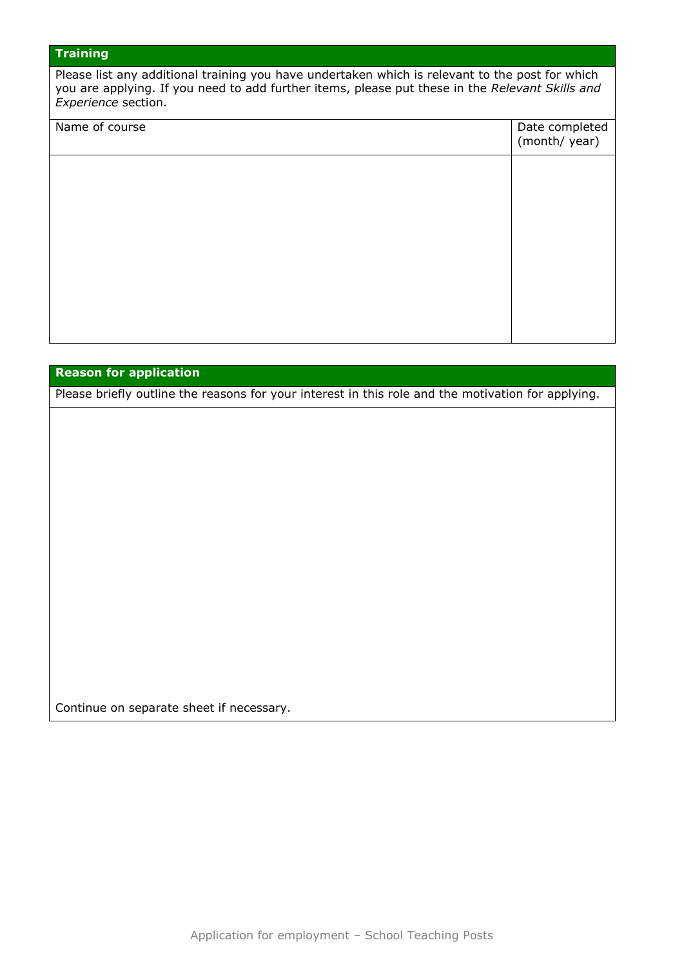# **Training**

Please list any additional training you have undertaken which is relevant to the post for which you are applying. If you need to add further items, please put these in the *Relevant Skills and Experience* section.

# Name of course Date completed (month/ year)

#### **Reason for application**

Please briefly outline the reasons for your interest in this role and the motivation for applying.

Continue on separate sheet if necessary.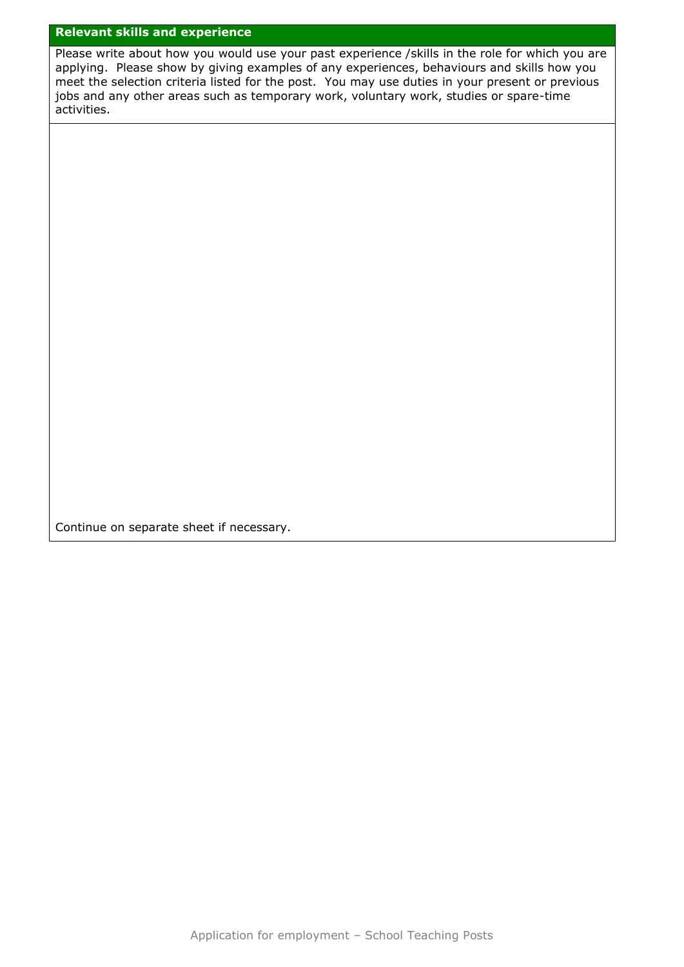# **Relevant skills and experience**

Please write about how you would use your past experience /skills in the role for which you are applying. Please show by giving examples of any experiences, behaviours and skills how you meet the selection criteria listed for the post. You may use duties in your present or previous jobs and any other areas such as temporary work, voluntary work, studies or spare-time activities.

Continue on separate sheet if necessary.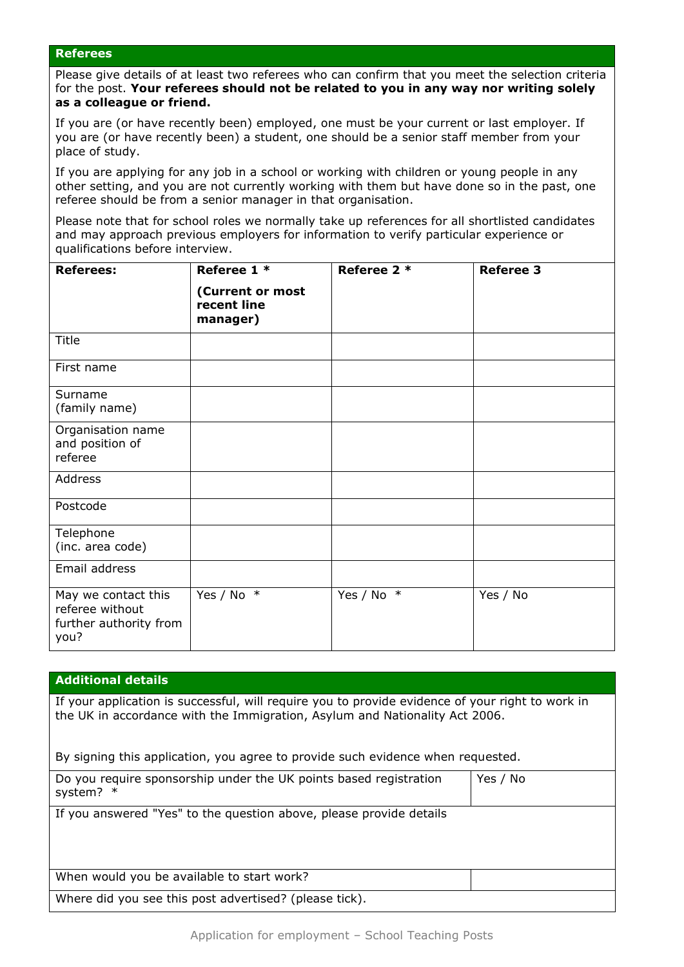#### **Referees**

Please give details of at least two referees who can confirm that you meet the selection criteria for the post. **Your referees should not be related to you in any way nor writing solely as a colleague or friend.** 

If you are (or have recently been) employed, one must be your current or last employer. If you are (or have recently been) a student, one should be a senior staff member from your place of study.

If you are applying for any job in a school or working with children or young people in any other setting, and you are not currently working with them but have done so in the past, one referee should be from a senior manager in that organisation.

Please note that for school roles we normally take up references for all shortlisted candidates and may approach previous employers for information to verify particular experience or qualifications before interview.

| <b>Referees:</b>                                                         | Referee 1 *<br>(Current or most<br>recent line<br>manager) | Referee 2 *  | <b>Referee 3</b> |
|--------------------------------------------------------------------------|------------------------------------------------------------|--------------|------------------|
| Title                                                                    |                                                            |              |                  |
| First name                                                               |                                                            |              |                  |
| Surname<br>(family name)                                                 |                                                            |              |                  |
| Organisation name<br>and position of<br>referee                          |                                                            |              |                  |
| Address                                                                  |                                                            |              |                  |
| Postcode                                                                 |                                                            |              |                  |
| Telephone<br>(inc. area code)                                            |                                                            |              |                  |
| Email address                                                            |                                                            |              |                  |
| May we contact this<br>referee without<br>further authority from<br>you? | Yes / No $*$                                               | Yes / No $*$ | Yes / No         |

#### **Additional details**

If your application is successful, will require you to provide evidence of your right to work in the UK in accordance with the Immigration, Asylum and Nationality Act 2006.

By signing this application, you agree to provide such evidence when requested.

| Do you require sponsorship under the UK points based registration<br>system? $*$ | Yes / No |
|----------------------------------------------------------------------------------|----------|
| If you answered "Yes" to the question above, please provide details              |          |
| When would you be available to start work?                                       |          |
| Where did you see this post advertised? (please tick).                           |          |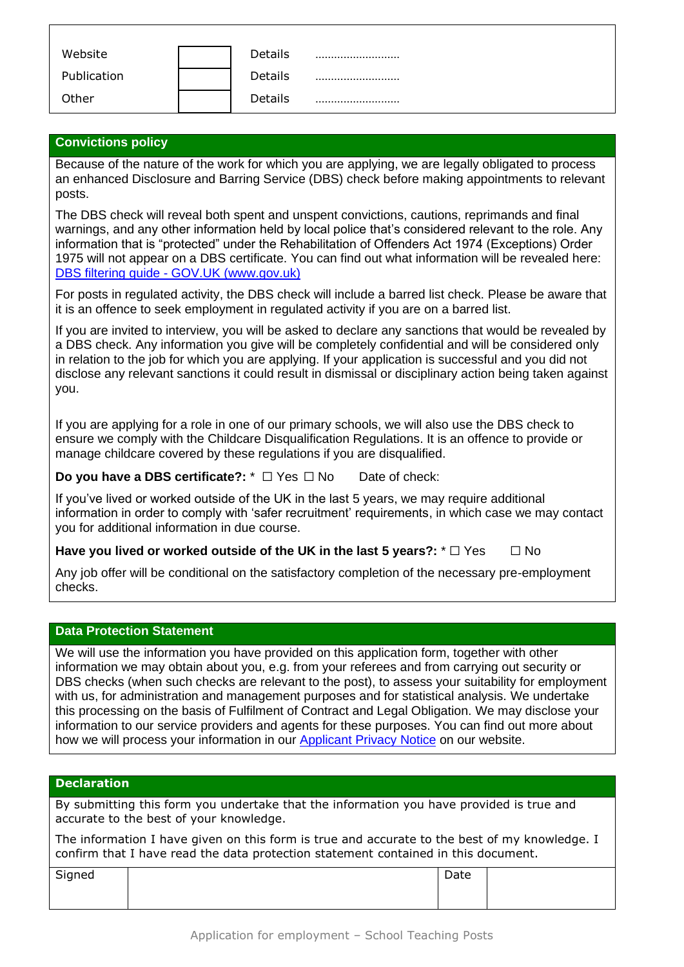| Website     | Details |  |
|-------------|---------|--|
| Publication | Details |  |
| Other       | Details |  |

## **Convictions policy**

Because of the nature of the work for which you are applying, we are legally obligated to process an enhanced Disclosure and Barring Service (DBS) check before making appointments to relevant posts.

The DBS check will reveal both spent and unspent convictions, cautions, reprimands and final warnings, and any other information held by local police that's considered relevant to the role. Any information that is "protected" under the Rehabilitation of Offenders Act 1974 (Exceptions) Order 1975 will not appear on a DBS certificate. You can find out what information will be revealed here: DBS filtering guide - GOV.UK [\(www.gov.uk\)](http://www.gov.uk/)

For posts in regulated activity, the DBS check will include a barred list check. Please be aware that it is an offence to seek employment in regulated activity if you are on a barred list.

If you are invited to interview, you will be asked to declare any sanctions that would be revealed by a DBS check. Any information you give will be completely confidential and will be considered only in relation to the job for which you are applying. If your application is successful and you did not disclose any relevant sanctions it could result in dismissal or disciplinary action being taken against you.

If you are applying for a role in one of our primary schools, we will also use the DBS check to ensure we comply with the Childcare Disqualification Regulations. It is an offence to provide or manage childcare covered by these regulations if you are disqualified.

**Do you have a DBS certificate?:**  $*$  □ Yes □ No Date of check:

If you've lived or worked outside of the UK in the last 5 years, we may require additional information in order to comply with 'safer recruitment' requirements, in which case we may contact you for additional information in due course.

**Have you lived or worked outside of the UK in the last 5 years?:**  $*$  □ Yes □ No

Any job offer will be conditional on the satisfactory completion of the necessary pre-employment checks.

### **Data Protection Statement**

We will use the information you have provided on this application form, together with other information we may obtain about you, e.g. from your referees and from carrying out security or DBS checks (when such checks are relevant to the post), to assess your suitability for employment with us, for administration and management purposes and for statistical analysis. We undertake this processing on the basis of Fulfilment of Contract and Legal Obligation. We may disclose your information to our service providers and agents for these purposes. You can find out more about how we will process your information in our **Applicant Privacy Notice on our website.** 

#### **Declaration**

By submitting this form you undertake that the information you have provided is true and accurate to the best of your knowledge.

The information I have given on this form is true and accurate to the best of my knowledge. I confirm that I have read the data protection statement contained in this document.

| Signed | Date |  |
|--------|------|--|
|        |      |  |
|        |      |  |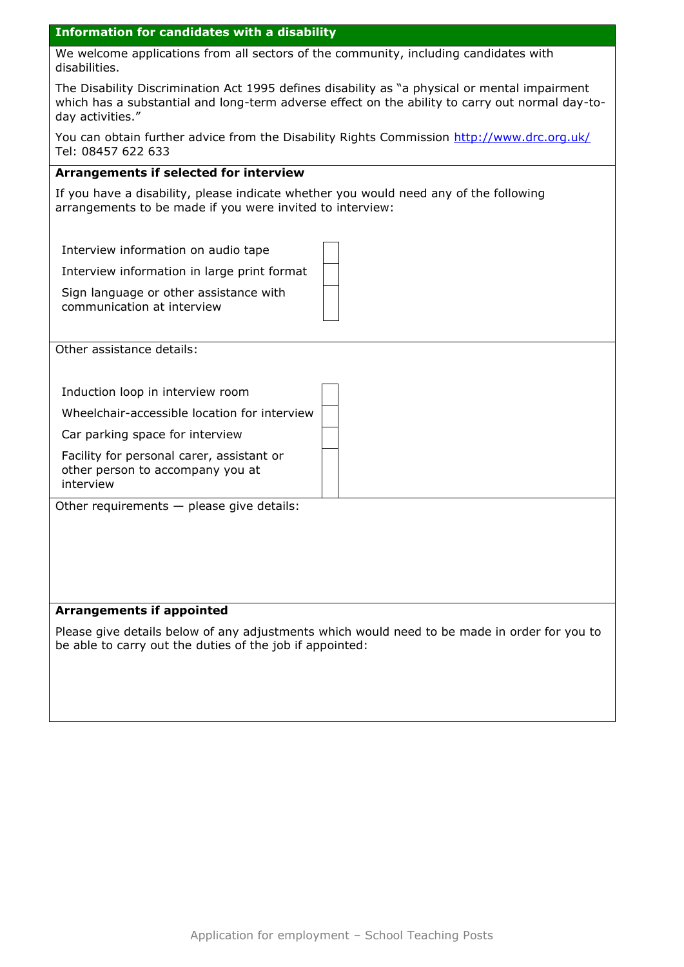| <b>Information for candidates with a disability</b>                                                                                                                                                                  |
|----------------------------------------------------------------------------------------------------------------------------------------------------------------------------------------------------------------------|
| We welcome applications from all sectors of the community, including candidates with<br>disabilities.                                                                                                                |
| The Disability Discrimination Act 1995 defines disability as "a physical or mental impairment<br>which has a substantial and long-term adverse effect on the ability to carry out normal day-to-<br>day activities." |
| You can obtain further advice from the Disability Rights Commission http://www.drc.org.uk/<br>Tel: 08457 622 633                                                                                                     |
| Arrangements if selected for interview                                                                                                                                                                               |
| If you have a disability, please indicate whether you would need any of the following<br>arrangements to be made if you were invited to interview:                                                                   |
| Interview information on audio tape                                                                                                                                                                                  |
| Interview information in large print format                                                                                                                                                                          |
| Sign language or other assistance with<br>communication at interview                                                                                                                                                 |
| Other assistance details:                                                                                                                                                                                            |
| Induction loop in interview room                                                                                                                                                                                     |
| Wheelchair-accessible location for interview                                                                                                                                                                         |
| Car parking space for interview                                                                                                                                                                                      |
| Facility for personal carer, assistant or<br>other person to accompany you at<br>interview                                                                                                                           |
| Other requirements $-$ please give details:                                                                                                                                                                          |
|                                                                                                                                                                                                                      |
|                                                                                                                                                                                                                      |
|                                                                                                                                                                                                                      |
|                                                                                                                                                                                                                      |
| <b>Arrangements if appointed</b>                                                                                                                                                                                     |
| Please give details below of any adjustments which would need to be made in order for you to<br>be able to carry out the duties of the job if appointed:                                                             |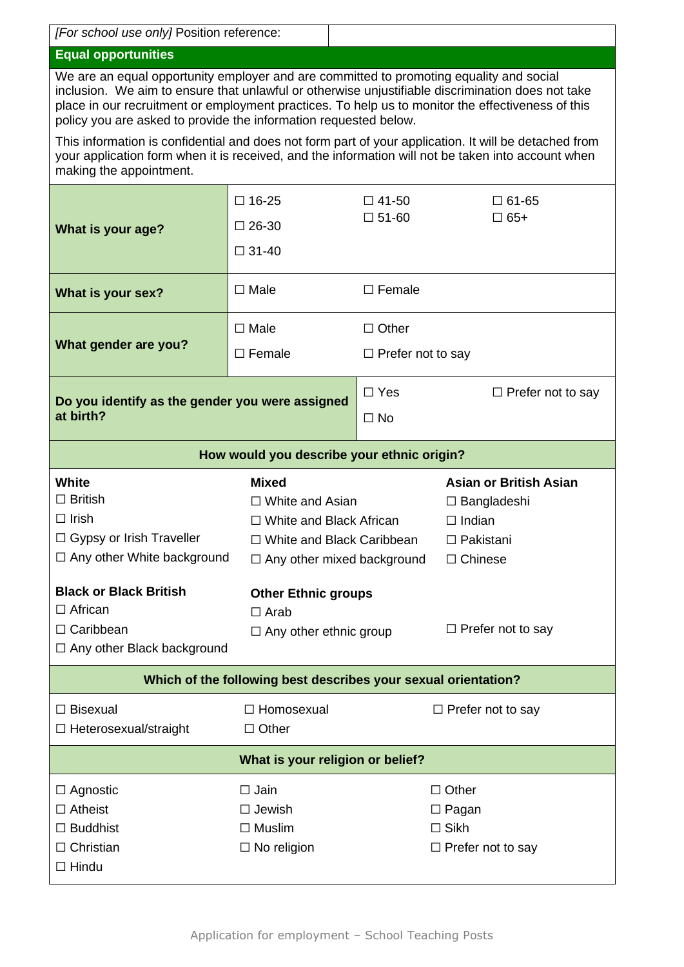| [For school use only] Position reference:                                                                                                                                                                                                                                                                                                                             |                                                                            |                          |                                                                                                            |  |
|-----------------------------------------------------------------------------------------------------------------------------------------------------------------------------------------------------------------------------------------------------------------------------------------------------------------------------------------------------------------------|----------------------------------------------------------------------------|--------------------------|------------------------------------------------------------------------------------------------------------|--|
| <b>Equal opportunities</b>                                                                                                                                                                                                                                                                                                                                            |                                                                            |                          |                                                                                                            |  |
| We are an equal opportunity employer and are committed to promoting equality and social<br>inclusion. We aim to ensure that unlawful or otherwise unjustifiable discrimination does not take<br>place in our recruitment or employment practices. To help us to monitor the effectiveness of this<br>policy you are asked to provide the information requested below. |                                                                            |                          |                                                                                                            |  |
| This information is confidential and does not form part of your application. It will be detached from<br>your application form when it is received, and the information will not be taken into account when<br>making the appointment.                                                                                                                                |                                                                            |                          |                                                                                                            |  |
|                                                                                                                                                                                                                                                                                                                                                                       | $\square$ 16-25                                                            | $\Box$ 41-50             | $\square$ 61-65                                                                                            |  |
| What is your age?                                                                                                                                                                                                                                                                                                                                                     | $\square$ 26-30                                                            | $\square$ 51-60          | $\Box$ 65+                                                                                                 |  |
|                                                                                                                                                                                                                                                                                                                                                                       | $\Box$ 31-40                                                               |                          |                                                                                                            |  |
| What is your sex?                                                                                                                                                                                                                                                                                                                                                     | $\Box$ Male                                                                | $\Box$ Female            |                                                                                                            |  |
|                                                                                                                                                                                                                                                                                                                                                                       | $\square$ Male                                                             | $\Box$ Other             |                                                                                                            |  |
| What gender are you?                                                                                                                                                                                                                                                                                                                                                  | $\Box$ Female                                                              | $\Box$ Prefer not to say |                                                                                                            |  |
|                                                                                                                                                                                                                                                                                                                                                                       |                                                                            | $\Box$ Yes               | $\Box$ Prefer not to say                                                                                   |  |
| Do you identify as the gender you were assigned<br>at birth?                                                                                                                                                                                                                                                                                                          |                                                                            | $\Box$ No                |                                                                                                            |  |
|                                                                                                                                                                                                                                                                                                                                                                       | How would you describe your ethnic origin?                                 |                          |                                                                                                            |  |
| <b>White</b><br><b>Mixed</b><br>$\Box$ British<br>$\Box$ White and Asian<br>$\Box$ Irish<br>$\Box$ White and Black African<br>□ Gypsy or Irish Traveller<br>□ White and Black Caribbean<br>$\Box$ Any other White background<br>$\Box$ Any other mixed background                                                                                                     |                                                                            |                          | <b>Asian or British Asian</b><br>$\Box$ Bangladeshi<br>$\Box$ Indian<br>$\Box$ Pakistani<br>$\Box$ Chinese |  |
| <b>Black or Black British</b><br>$\Box$ African<br>□ Caribbean<br>□ Any other Black background                                                                                                                                                                                                                                                                        | <b>Other Ethnic groups</b><br>$\Box$ Arab<br>$\Box$ Any other ethnic group |                          | $\Box$ Prefer not to say                                                                                   |  |
| Which of the following best describes your sexual orientation?                                                                                                                                                                                                                                                                                                        |                                                                            |                          |                                                                                                            |  |
| $\Box$ Bisexual<br>□ Homosexual<br>□ Heterosexual/straight<br>$\Box$ Other                                                                                                                                                                                                                                                                                            |                                                                            |                          | $\Box$ Prefer not to say                                                                                   |  |
| What is your religion or belief?                                                                                                                                                                                                                                                                                                                                      |                                                                            |                          |                                                                                                            |  |
| $\square$ Jain<br>$\Box$ Agnostic<br>$\Box$ Atheist<br>$\Box$ Jewish<br>$\Box$ Buddhist<br>$\Box$ Muslim<br>$\Box$ Christian<br>$\Box$ No religion<br>$\Box$ Hindu                                                                                                                                                                                                    |                                                                            |                          | $\Box$ Other<br>$\Box$ Pagan<br>$\square$ Sikh<br>$\Box$ Prefer not to say                                 |  |